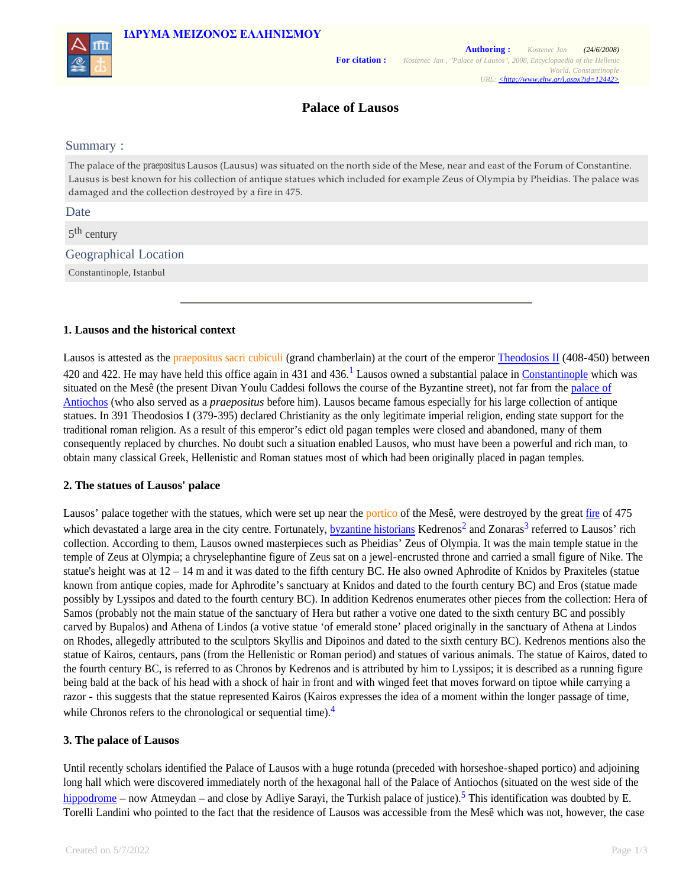



# **Palace of Lausos**

### Summary :

The palace of the *praepositus* Lausos (Lausus) was situated on the north side of the Mese, near and east of the Forum of Constantine. Lausus is best known for his collection of antique statues which included for example Zeus of Olympia by Pheidias. The palace was damaged and the collection destroyed by a fire in 475.

### Date

5<sup>th</sup> century

## Geographical Location

Constantinople, Istanbul

## **1. Lausos and the historical context**

Lausos is attested as the praepositus sacri cubiculi (grand chamberlain) at the court of the emperor Theodosios II (408-450) between 420 and 422. He may have held this office again in 431 and 436.<sup>1</sup> Lausos owned a substantial palace in Constantinople which was situated on the Mesê (the present Divan Youlu Caddesi follows the course of the Byzantine street), not far from the palace of Antiochos (who also served as a *praepositus* before him). Lausos became famous especially for his large collection of antique statues. In 391 Theodosios I (379-395) declared Christianity as the only legitimate imperial religion, ending state support for the traditional roman religion. As a result of this emperor's edict old pagan temples were closed and abandoned, many of them consequently replaced by churches. No doubt such a situation enabled Lausos, who must have been a powerful and rich man, to obtain many classical Greek, Hellenistic and Roman statues most of which had been originally placed in pagan temples.

## **2. The statues of Lausos' palace**

Lausos' palace together with the statues, which were set up near the portico of the Mesê, were destroyed by the great fire of 475 which devastated a large area in the city centre. Fortunately, **byzantine historians** Kedrenos<sup>2</sup> and Zonaras<sup>3</sup> referred to Lausos' rich collection. According to them, Lausos owned masterpieces such as Pheidias' Zeus of Olympia. It was the main temple statue in the temple of Zeus at Olympia; a chryselephantine figure of Zeus sat on a jewel-encrusted throne and carried a small figure of Nike. The statue's height was at 12 – 14 m and it was dated to the fifth century BC. He also owned Aphrodite of Knidos by Praxiteles (statue known from antique copies, made for Aphrodite's sanctuary at Knidos and dated to the fourth century BC) and Eros (statue made possibly by Lyssipos and dated to the fourth century BC). In addition Kedrenos enumerates other pieces from the collection: Hera of Samos (probably not the main statue of the sanctuary of Hera but rather a votive one dated to the sixth century BC and possibly carved by Bupalos) and Athena of Lindos (a votive statue 'of emerald stone' placed originally in the sanctuary of Athena at Lindos on Rhodes, allegedly attributed to the sculptors Skyllis and Dipoinos and dated to the sixth century BC). Kedrenos mentions also the statue of Kairos, centaurs, pans (from the Hellenistic or Roman period) and statues of various animals. The statue of Kairos, dated to the fourth century BC, is referred to as Chronos by Kedrenos and is attributed by him to Lyssipos; it is described as a running figure being bald at the back of his head with a shock of hair in front and with winged feet that moves forward on tiptoe while carrying a razor - this suggests that the statue represented Kairos (Kairos expresses the idea of a moment within the longer passage of time, while Chronos refers to the chronological or sequential time).<sup>4</sup>

# **3. The palace of Lausos**

Until recently scholars identified the Palace of Lausos with a huge rotunda (preceded with horseshoe-shaped portico) and adjoining long hall which were discovered immediately north of the hexagonal hall of the Palace of Antiochos (situated on the west side of the hippodrome – now Atmeydan – and close by Adliye Sarayi, the Turkish palace of justice).<sup>5</sup> This identification was doubted by E. Torelli Landini who pointed to the fact that the residence of Lausos was accessible from the Mesê which was not, however, the case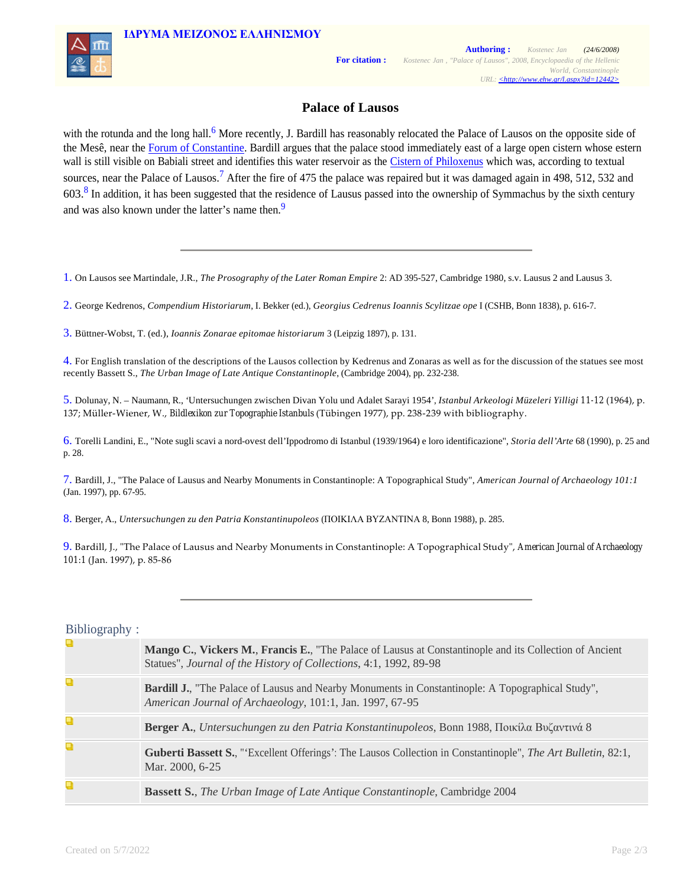

# **Palace of Lausos**

with the rotunda and the long hall.<sup>6</sup> More recently, J. Bardill has reasonably relocated the Palace of Lausos on the opposite side of the Mesê, near the Forum of Constantine. Bardill argues that the palace stood immediately east of a large open cistern whose estern wall is still visible on Babiali street and identifies this water reservoir as the Cistern of Philoxenus which was, according to textual sources, near the Palace of Lausos.<sup>7</sup> After the fire of 475 the palace was repaired but it was damaged again in 498, 512, 532 and  $603<sup>8</sup>$  In addition, it has been suggested that the residence of Lausus passed into the ownership of Symmachus by the sixth century and was also known under the latter's name then.<sup>9</sup>

1. On Lausos see Martindale, J.R., *The Prosography of the Later Roman Empire* 2: AD 395-527, Cambridge 1980, s.v. Lausus 2 and Lausus 3.

2. George Kedrenos, *Compendium Historiarum*, I. Bekker (ed.), *Georgius Cedrenus Ioannis Scylitzae ope* I (CSHB, Bonn 1838), p. 616-7.

3. Büttner-Wobst, T. (ed.), *Ioannis Zonarae epitomae historiarum* 3 (Leipzig 1897), p. 131.

4. For English translation of the descriptions of the Lausos collection by Kedrenus and Zonaras as well as for the discussion of the statues see most recently Bassett S., *The Urban Image of Late Antique Constantinople*, (Cambridge 2004), pp. 232-238.

5. Dolunay, N. – Naumann, R., 'Untersuchungen zwischen Divan Yolu und Adalet Sarayi 1954', *Istanbul Arkeologi Müzeleri Yilligi 11-12* (1964), p. 137; Müller‑Wiener, W., *Bildlexikon zur Topographie Istanbuls* (Tübingen 1977), pp. 238‑239 with bibliography.

6. Torelli Landini, E., "Note sugli scavi a nord-ovest dell'Ippodromo di Istanbul (1939/1964) e loro identificazione", *Storia dell'Arte* 68 (1990), p. 25 and p. 28.

7. Bardill, J., "The Palace of Lausus and Nearby Monuments in Constantinople: A Topographical Study", *American Journal of Archaeology 101:1* (Jan. 1997), pp. 67-95.

8. Berger, A., *Untersuchungen zu den Patria Konstantinupoleos* (ΠΟΙΚΙΛΑ ΒΥΖΑΝΤΙΝΑ 8, Bonn 1988), p. 285.

9. Bardill, J., "The Palace of Lausus and Nearby Monuments in Constantinople: A Topographical Study", American Journal of Archaeology *101:1* (Jan. 1997), p. 85‑86

### Bibliography :

| Q | Mango C., Vickers M., Francis E., "The Palace of Lausus at Constantinople and its Collection of Ancient<br>Statues", Journal of the History of Collections, 4:1, 1992, 89-98 |
|---|------------------------------------------------------------------------------------------------------------------------------------------------------------------------------|
| Q | <b>Bardill J.</b> , "The Palace of Lausus and Nearby Monuments in Constantinople: A Topographical Study",<br>American Journal of Archaeology, 101:1, Jan. 1997, 67-95        |
| Q | <b>Berger A.,</b> Untersuchungen zu den Patria Konstantinupoleos, Bonn 1988, Ποικίλα Βυζαντινά 8                                                                             |
| Q | <b>Guberti Bassett S.,</b> "Excellent Offerings': The Lausos Collection in Constantinople", The Art Bulletin, 82:1,<br>Mar. 2000, 6-25                                       |
| Q | <b>Bassett S., The Urban Image of Late Antique Constantinople, Cambridge 2004</b>                                                                                            |